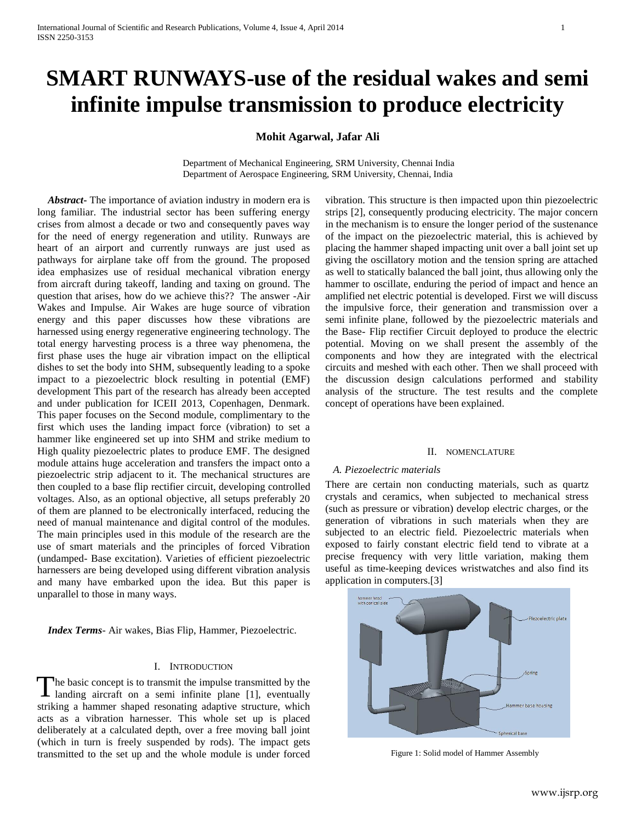# **SMART RUNWAYS-use of the residual wakes and semi infinite impulse transmission to produce electricity**

**Mohit Agarwal, Jafar Ali**

Department of Mechanical Engineering, SRM University, Chennai India Department of Aerospace Engineering, SRM University, Chennai, India

 *Abstract***-** The importance of aviation industry in modern era is long familiar. The industrial sector has been suffering energy crises from almost a decade or two and consequently paves way for the need of energy regeneration and utility. Runways are heart of an airport and currently runways are just used as pathways for airplane take off from the ground. The proposed idea emphasizes use of residual mechanical vibration energy from aircraft during takeoff, landing and taxing on ground. The question that arises, how do we achieve this?? The answer -Air Wakes and Impulse. Air Wakes are huge source of vibration energy and this paper discusses how these vibrations are harnessed using energy regenerative engineering technology. The total energy harvesting process is a three way phenomena, the first phase uses the huge air vibration impact on the elliptical dishes to set the body into SHM, subsequently leading to a spoke impact to a piezoelectric block resulting in potential (EMF) development This part of the research has already been accepted and under publication for ICEII 2013, Copenhagen, Denmark. This paper focuses on the Second module, complimentary to the first which uses the landing impact force (vibration) to set a hammer like engineered set up into SHM and strike medium to High quality piezoelectric plates to produce EMF. The designed module attains huge acceleration and transfers the impact onto a piezoelectric strip adjacent to it. The mechanical structures are then coupled to a base flip rectifier circuit, developing controlled voltages. Also, as an optional objective, all setups preferably 20 of them are planned to be electronically interfaced, reducing the need of manual maintenance and digital control of the modules. The main principles used in this module of the research are the use of smart materials and the principles of forced Vibration (undamped- Base excitation). Varieties of efficient piezoelectric harnessers are being developed using different vibration analysis and many have embarked upon the idea. But this paper is unparallel to those in many ways.

 *Index Terms*- Air wakes, Bias Flip, Hammer, Piezoelectric.

# I. INTRODUCTION

he basic concept is to transmit the impulse transmitted by the The basic concept is to transmit the impulse transmitted by the landing aircraft on a semi-infinite plane [1], eventually striking a hammer shaped resonating adaptive structure, which acts as a vibration harnesser. This whole set up is placed deliberately at a calculated depth, over a free moving ball joint (which in turn is freely suspended by rods). The impact gets transmitted to the set up and the whole module is under forced

vibration. This structure is then impacted upon thin piezoelectric strips [2], consequently producing electricity. The major concern in the mechanism is to ensure the longer period of the sustenance of the impact on the piezoelectric material, this is achieved by placing the hammer shaped impacting unit over a ball joint set up giving the oscillatory motion and the tension spring are attached as well to statically balanced the ball joint, thus allowing only the hammer to oscillate, enduring the period of impact and hence an amplified net electric potential is developed. First we will discuss the impulsive force, their generation and transmission over a semi infinite plane, followed by the piezoelectric materials and the Base- Flip rectifier Circuit deployed to produce the electric potential. Moving on we shall present the assembly of the components and how they are integrated with the electrical circuits and meshed with each other. Then we shall proceed with the discussion design calculations performed and stability analysis of the structure. The test results and the complete concept of operations have been explained.

# II. NOMENCLATURE

## *A. Piezoelectric materials*

There are certain non conducting materials, such as quartz crystals and ceramics, when subjected to mechanical stress (such as pressure or vibration) develop electric charges, or the generation of vibrations in such materials when they are subjected to an electric field. Piezoelectric materials when exposed to fairly constant electric field tend to vibrate at a precise frequency with very little variation, making them useful as time-keeping devices wristwatches and also find its application in computers.[3]



Figure 1: Solid model of Hammer Assembly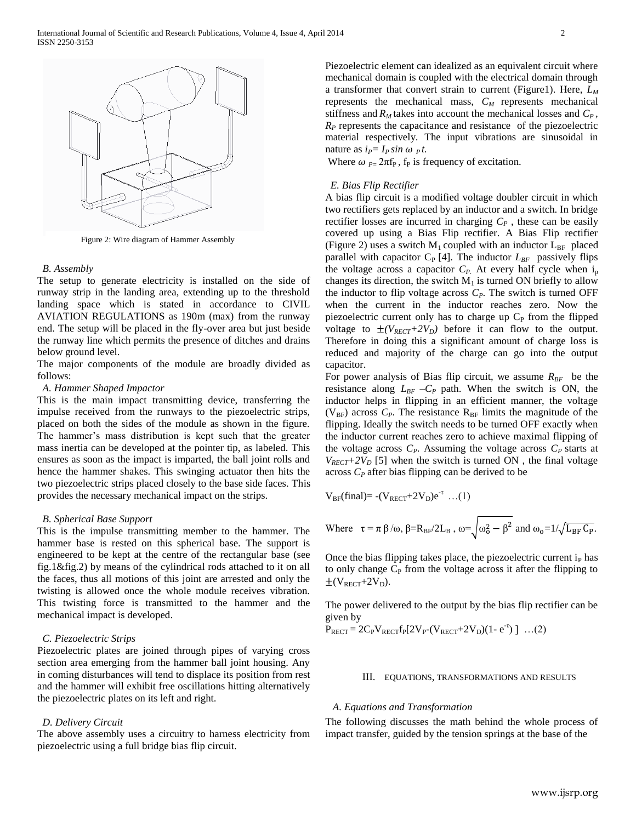

Figure 2: Wire diagram of Hammer Assembly

# *B. Assembly*

The setup to generate electricity is installed on the side of runway strip in the landing area, extending up to the threshold landing space which is stated in accordance to CIVIL AVIATION REGULATIONS as 190m (max) from the runway end. The setup will be placed in the fly-over area but just beside the runway line which permits the presence of ditches and drains below ground level.

The major components of the module are broadly divided as follows:

#### *A. Hammer Shaped Impactor*

This is the main impact transmitting device, transferring the impulse received from the runways to the piezoelectric strips, placed on both the sides of the module as shown in the figure. The hammer's mass distribution is kept such that the greater mass inertia can be developed at the pointer tip, as labeled. This ensures as soon as the impact is imparted, the ball joint rolls and hence the hammer shakes. This swinging actuator then hits the two piezoelectric strips placed closely to the base side faces. This provides the necessary mechanical impact on the strips.

#### *B. Spherical Base Support*

This is the impulse transmitting member to the hammer. The hammer base is rested on this spherical base. The support is engineered to be kept at the centre of the rectangular base (see fig.1&fig.2) by means of the cylindrical rods attached to it on all the faces, thus all motions of this joint are arrested and only the twisting is allowed once the whole module receives vibration. This twisting force is transmitted to the hammer and the mechanical impact is developed.

# *C. Piezoelectric Strips*

Piezoelectric plates are joined through pipes of varying cross section area emerging from the hammer ball joint housing. Any in coming disturbances will tend to displace its position from rest and the hammer will exhibit free oscillations hitting alternatively the piezoelectric plates on its left and right.

# *D. Delivery Circuit*

The above assembly uses a circuitry to harness electricity from piezoelectric using a full bridge bias flip circuit.

Piezoelectric element can idealized as an equivalent circuit where mechanical domain is coupled with the electrical domain through a transformer that convert strain to current (Figure1). Here, *L<sup>M</sup>* represents the mechanical mass, *C<sup>M</sup>* represents mechanical stiffness and  $R_M$  takes into account the mechanical losses and  $C_P$ ,  $R<sub>P</sub>$  represents the capacitance and resistance of the piezoelectric material respectively. The input vibrations are sinusoidal in nature as  $i_P = I_P \sin \omega_P t$ .

Where  $\omega_{P} = 2\pi f_P$ ,  $f_P$  is frequency of excitation.

# *E. Bias Flip Rectifier*

A bias flip circuit is a modified voltage doubler circuit in which two rectifiers gets replaced by an inductor and a switch. In bridge rectifier losses are incurred in charging  $C_P$ , these can be easily covered up using a Bias Flip rectifier. A Bias Flip rectifier (Figure 2) uses a switch  $M_1$  coupled with an inductor  $L_{BF}$  placed parallel with capacitor  $C_P$  [4]. The inductor  $L_{BF}$  passively flips the voltage across a capacitor  $C_P$ . At every half cycle when  $i_p$ changes its direction, the switch  $M_1$  is turned ON briefly to allow the inductor to flip voltage across  $C_P$ . The switch is turned OFF when the current in the inductor reaches zero. Now the piezoelectric current only has to charge up  $C_{P}$  from the flipped voltage to  $\pm (V_{RECT} + 2V_D)$  before it can flow to the output. Therefore in doing this a significant amount of charge loss is reduced and majority of the charge can go into the output capacitor.

For power analysis of Bias flip circuit, we assume  $R_{BF}$  be the resistance along  $L_{BF} - C_P$  path. When the switch is ON, the inductor helps in flipping in an efficient manner, the voltage  $(V_{BF})$  across  $C_P$ . The resistance  $R_{BF}$  limits the magnitude of the flipping. Ideally the switch needs to be turned OFF exactly when the inductor current reaches zero to achieve maximal flipping of the voltage across  $C_P$ . Assuming the voltage across  $C_P$  starts at  $V_{RECT}$ +2 $V_D$  [5] when the switch is turned ON, the final voltage across *C<sup>P</sup>* after bias flipping can be derived to be

$$
V_{BF}(final) = -(V_{RECT} + 2V_D)e^{-\tau} \dots (1)
$$

Where 
$$
\tau = \pi \beta/\omega
$$
,  $\beta=R_{BF}/2L_B$ ,  $\omega = \sqrt{\omega_0^2 - \beta^2}$  and  $\omega_0 = 1/\sqrt{L_{BF} C_P}$ .

Once the bias flipping takes place, the piezoelectric current  $i<sub>P</sub>$  has to only change  $C_P$  from the voltage across it after the flipping to  $\pm (V_{RECT} + 2V_D).$ 

The power delivered to the output by the bias flip rectifier can be given by

$$
\bar{P}_{RECT} = 2C_P V_{RECT} f_P [2V_P - (V_{RECT} + 2V_D)(1 - e^{-t})] \dots (2)
$$

#### III. EQUATIONS, TRANSFORMATIONS AND RESULTS

## *A. Equations and Transformation*

The following discusses the math behind the whole process of impact transfer, guided by the tension springs at the base of the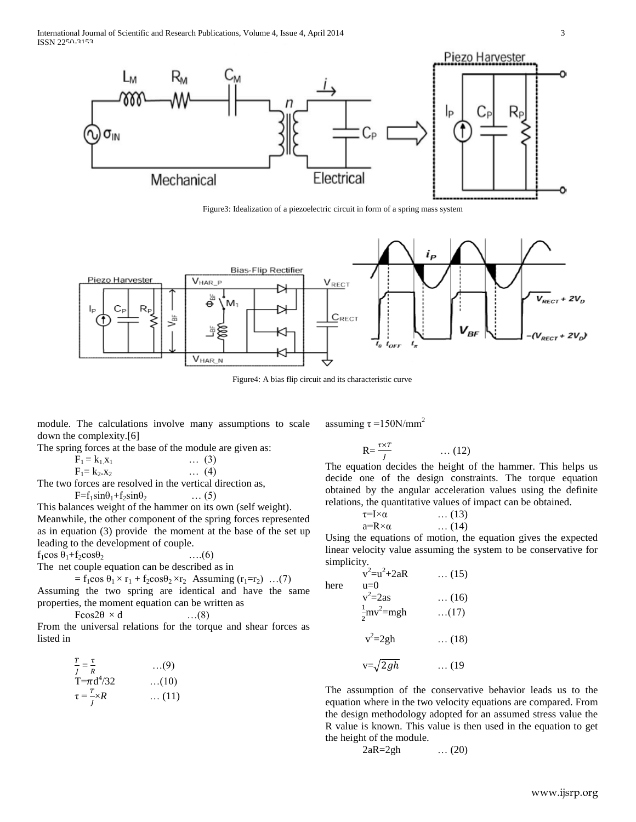International Journal of Scientific and Research Publications, Volume 4, Issue 4, April 2014 3 ISSN 2250-3153



Figure3: Idealization of a piezoelectric circuit in form of a spring mass system



Figure4: A bias flip circuit and its characteristic curve

module. The calculations involve many assumptions to scale down the complexity.[6] assuming  $\tau = 150$ N/mm<sup>2</sup>

The spring forces at the base of the module are given as:

| $F_1 = k_1 x_1$                        | $\dots (3)$  |  |
|----------------------------------------|--------------|--|
| $F_1 = k_2.x_2$                        | $\ldots$ (4) |  |
| forces are resolved in the vertical di |              |  |

The two forces are resolved in the vertical direction as,

 $F=f_1\sin\theta_1+f_2\sin\theta_2$  … (5)

This balances weight of the hammer on its own (self weight). Meanwhile, the other component of the spring forces represented as in equation (3) provide the moment at the base of the set up leading to the development of couple.

 $f_1 \cos \theta_1 + f_2 \cos \theta_2$  ....(6) The net couple equation can be described as in

 $=$  f<sub>1</sub>cos  $\theta_1 \times r_1 +$  f<sub>2</sub>cos $\theta_2 \times r_2$  Assuming (r<sub>1</sub>=r<sub>2</sub>) ...(7)

Assuming the two spring are identical and have the same properties, the moment equation can be written as

 $F\cos 2\theta \times d$  …(8) From the universal relations for the torque and shear forces as listed in

$$
\frac{T}{f} = \frac{\tau}{R}
$$
 ...(9)  
T =  $\pi d^{4}/32$  ...(10)  
 $\tau = \frac{T}{f} \times R$  ...(11)

$$
R = \frac{\tau \times T}{J} \qquad \qquad \dots (12)
$$

The equation decides the height of the hammer. This helps us decide one of the design constraints. The torque equation obtained by the angular acceleration values using the definite relations, the quantitative values of impact can be obtained.

$$
\begin{array}{ll}\n\tau = I \times \alpha & \dots (13) \\
a = R \times \alpha & \dots (14)\n\end{array}
$$

Using the equations of motion, the equation gives the expected linear velocity value assuming the system to be conservative for simplicity.

here  
\n
$$
v^2 = u^2 + 2aR
$$
 ... (15)  
\nhere  
\n $v^2 = 2as$  ... (16)  
\n $\frac{1}{2}mv^2 = mgh$  ... (17)  
\n $v^2 = 2gh$  ... (18)  
\n $v = \sqrt{2gh}$  ... (19)

The assumption of the conservative behavior leads us to the equation where in the two velocity equations are compared. From the design methodology adopted for an assumed stress value the R value is known. This value is then used in the equation to get the height of the module.

$$
2aR=2gh \qquad \qquad \dots (20)
$$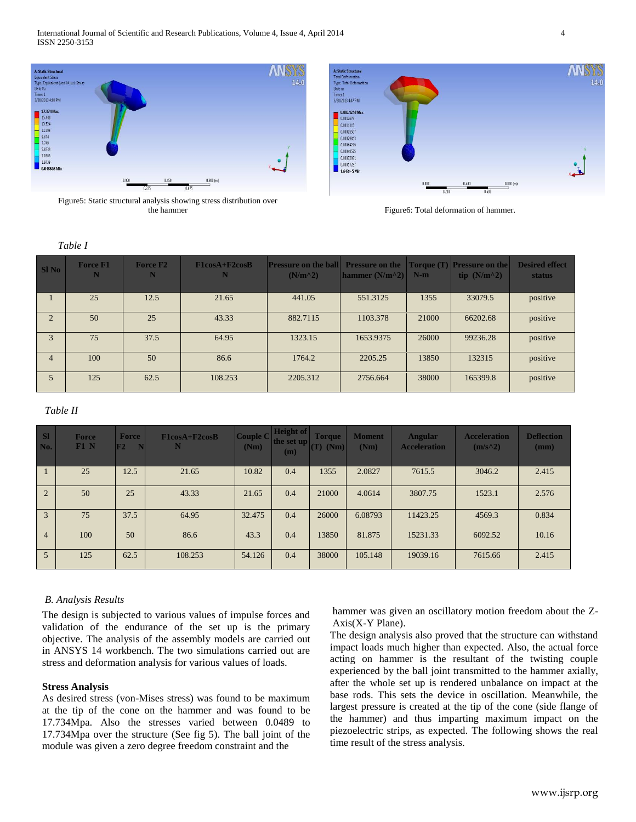

Figure5: Static structural analysis showing stress distribution over the hammer Figure6: Total deformation of hammer.

| <b>A: Static Structural</b>       |       |                |           | <b>ANR</b><br>W. |
|-----------------------------------|-------|----------------|-----------|------------------|
| <b>Total Deformation</b>          |       |                |           |                  |
| Type: Total Deformation<br>Unit m |       |                |           | 14               |
| Time: 1                           |       |                |           |                  |
| 3/28/2013 4:07 PM                 |       |                |           |                  |
|                                   |       |                |           |                  |
| 0.0014244 Max                     |       |                |           |                  |
| 0.0012679                         |       |                |           |                  |
| 0.0011115                         |       |                |           |                  |
| 0.00095507                        |       |                |           |                  |
| 0.00079863                        |       |                |           |                  |
| 0.00064219                        |       |                |           |                  |
| 0.00048575                        |       |                |           | v                |
| 0.00032931                        |       |                |           |                  |
| 0.00017287                        |       |                |           |                  |
| 1.643e-5 Min                      |       |                |           |                  |
|                                   |       |                |           |                  |
|                                   | 0.000 | 0.400          | 0.800 (m) |                  |
|                                   |       | 0.200<br>0.600 |           |                  |
|                                   |       |                |           |                  |
|                                   |       |                |           |                  |

| SI No          | <b>Force F1</b><br>N | <b>Force F2</b><br>N | $F1cosA+F2cosB$<br>N | <b>Pressure on the ball</b><br>$(N/m^2)$ | <b>Pressure on the</b><br>hammer $(N/m^2)$ | $N-m$ | <b>Torque (T)</b> Pressure on the<br>tip $(N/m^2)$ | <b>Desired effect</b><br><b>status</b> |
|----------------|----------------------|----------------------|----------------------|------------------------------------------|--------------------------------------------|-------|----------------------------------------------------|----------------------------------------|
|                | 25                   | 12.5                 | 21.65                | 441.05                                   | 551.3125                                   | 1355  | 33079.5                                            | positive                               |
| 2              | 50                   | 25                   | 43.33                | 882.7115                                 | 1103.378                                   | 21000 | 66202.68                                           | positive                               |
| 3              | 75                   | 37.5                 | 64.95                | 1323.15                                  | 1653.9375                                  | 26000 | 99236.28                                           | positive                               |
| $\overline{4}$ | 100                  | 50                   | 86.6                 | 1764.2                                   | 2205.25                                    | 13850 | 132315                                             | positive                               |
| $\mathfrak{H}$ | 125                  | 62.5                 | 108.253              | 2205.312                                 | 2756.664                                   | 38000 | 165399.8                                           | positive                               |

# *Table II*

| <b>SI</b><br>No. | <b>Force</b><br>F1 N | Force<br>F2<br>N | $F1cosA+F2cosB$ | <b>Couple C</b><br>(Nm) | <b>Height of</b><br>the set up<br>(m) | <b>Torque</b><br>$(T)$ (Nm) | <b>Moment</b><br>(Nm) | <b>Angular</b><br><b>Acceleration</b> | <b>Acceleration</b><br>$(m/s^2)$ | <b>Deflection</b><br>(mm) |
|------------------|----------------------|------------------|-----------------|-------------------------|---------------------------------------|-----------------------------|-----------------------|---------------------------------------|----------------------------------|---------------------------|
|                  | 25                   | 12.5             | 21.65           | 10.82                   | 0.4                                   | 1355                        | 2.0827                | 7615.5                                | 3046.2                           | 2.415                     |
| $\overline{2}$   | 50                   | 25               | 43.33           | 21.65                   | 0.4                                   | 21000                       | 4.0614                | 3807.75                               | 1523.1                           | 2.576                     |
| 3                | 75                   | 37.5             | 64.95           | 32.475                  | 0.4                                   | 26000                       | 6.08793               | 11423.25                              | 4569.3                           | 0.834                     |
| $\overline{4}$   | 100                  | 50               | 86.6            | 43.3                    | 0.4                                   | 13850                       | 81.875                | 15231.33                              | 6092.52                          | 10.16                     |
| 5                | 125                  | 62.5             | 108.253         | 54.126                  | 0.4                                   | 38000                       | 105.148               | 19039.16                              | 7615.66                          | 2.415                     |

# *B. Analysis Results*

The design is subjected to various values of impulse forces and validation of the endurance of the set up is the primary objective. The analysis of the assembly models are carried out in ANSYS 14 workbench. The two simulations carried out are stress and deformation analysis for various values of loads.

# **Stress Analysis**

As desired stress (von-Mises stress) was found to be maximum at the tip of the cone on the hammer and was found to be 17.734Mpa. Also the stresses varied between 0.0489 to 17.734Mpa over the structure (See fig 5). The ball joint of the module was given a zero degree freedom constraint and the

hammer was given an oscillatory motion freedom about the Z-Axis(X-Y Plane).

The design analysis also proved that the structure can withstand impact loads much higher than expected. Also, the actual force acting on hammer is the resultant of the twisting couple experienced by the ball joint transmitted to the hammer axially, after the whole set up is rendered unbalance on impact at the base rods. This sets the device in oscillation. Meanwhile, the largest pressure is created at the tip of the cone (side flange of the hammer) and thus imparting maximum impact on the piezoelectric strips, as expected. The following shows the real time result of the stress analysis.